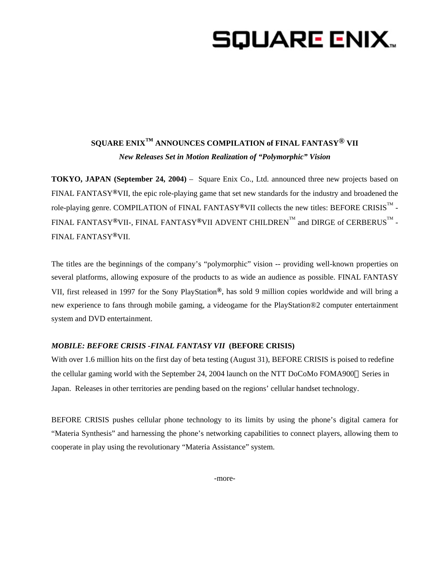# SQUARE ENIX..

# **SQUARE ENIX™ ANNOUNCES COMPILATION of FINAL FANTASY® VII**  *New Releases Set in Motion Realization of "Polymorphic" Vision*

**TOKYO, JAPAN (September 24, 2004)** – Square Enix Co., Ltd. announced three new projects based on FINAL FANTASY**®**VII, the epic role-playing game that set new standards for the industry and broadened the role-playing genre. COMPILATION of FINAL FANTASY®VII collects the new titles: BEFORE CRISIS™ -FINAL FANTASY®VII-, FINAL FANTASY®VII ADVENT CHILDREN $^{\text{\tiny{\text{TM}}}}$  and DIRGE of CERBERUS  $^{\text{\tiny{\text{TM}}}}$  -FINAL FANTASY**®**VII.

The titles are the beginnings of the company's "polymorphic" vision -- providing well-known properties on several platforms, allowing exposure of the products to as wide an audience as possible. FINAL FANTASY VII, first released in 1997 for the Sony PlayStation**®**, has sold 9 million copies worldwide and will bring a new experience to fans through mobile gaming, a videogame for the PlayStation®2 computer entertainment system and DVD entertainment.

# *MOBILE: BEFORE CRISIS -FINAL FANTASY VII* **(BEFORE CRISIS)**

With over 1.6 million hits on the first day of beta testing (August 31), BEFORE CRISIS is poised to redefine the cellular gaming world with the September 24, 2004 launch on the NTT DoCoMo FOMA900 Series in Japan. Releases in other territories are pending based on the regions' cellular handset technology.

BEFORE CRISIS pushes cellular phone technology to its limits by using the phone's digital camera for "Materia Synthesis" and harnessing the phone's networking capabilities to connect players, allowing them to cooperate in play using the revolutionary "Materia Assistance" system.

-more-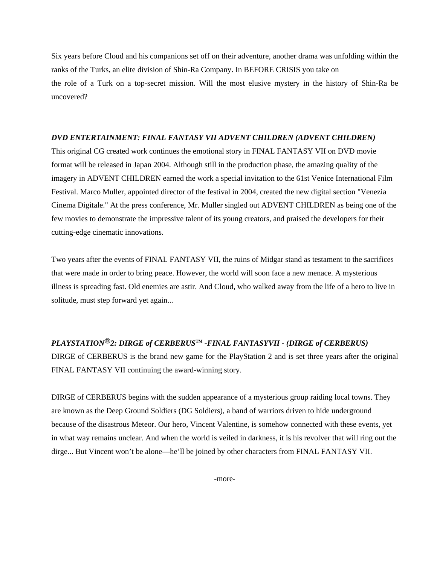Six years before Cloud and his companions set off on their adventure, another drama was unfolding within the ranks of the Turks, an elite division of Shin-Ra Company. In BEFORE CRISIS you take on the role of a Turk on a top-secret mission. Will the most elusive mystery in the history of Shin-Ra be uncovered?

### *DVD ENTERTAINMENT: FINAL FANTASY VII ADVENT CHILDREN (ADVENT CHILDREN)*

This original CG created work continues the emotional story in FINAL FANTASY VII on DVD movie format will be released in Japan 2004. Although still in the production phase, the amazing quality of the imagery in ADVENT CHILDREN earned the work a special invitation to the 61st Venice International Film Festival. Marco Muller, appointed director of the festival in 2004, created the new digital section "Venezia Cinema Digitale." At the press conference, Mr. Muller singled out ADVENT CHILDREN as being one of the few movies to demonstrate the impressive talent of its young creators, and praised the developers for their cutting-edge cinematic innovations.

Two years after the events of FINAL FANTASY VII, the ruins of Midgar stand as testament to the sacrifices that were made in order to bring peace. However, the world will soon face a new menace. A mysterious illness is spreading fast. Old enemies are astir. And Cloud, who walked away from the life of a hero to live in solitude, must step forward yet again...

# *PLAYSTATION®2: DIRGE of CERBERUS***TM** *-FINAL FANTASYVII - (DIRGE of CERBERUS)*

DIRGE of CERBERUS is the brand new game for the PlayStation 2 and is set three years after the original FINAL FANTASY VII continuing the award-winning story.

DIRGE of CERBERUS begins with the sudden appearance of a mysterious group raiding local towns. They are known as the Deep Ground Soldiers (DG Soldiers), a band of warriors driven to hide underground because of the disastrous Meteor. Our hero, Vincent Valentine, is somehow connected with these events, yet in what way remains unclear. And when the world is veiled in darkness, it is his revolver that will ring out the dirge... But Vincent won't be alone—he'll be joined by other characters from FINAL FANTASY VII.

-more-